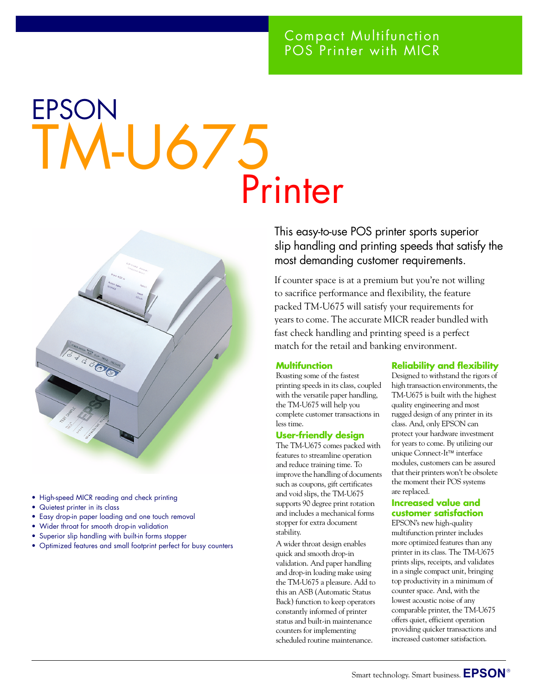### Compact Multifunction POS Printer with MICR

# EPSON TM-U675 Printer



- High-speed MICR reading and check printing
- Quietest printer in its class
- Easy drop-in paper loading and one touch removal
- Wider throat for smooth drop-in validation
- Superior slip handling with built-in forms stopper
- Optimized features and small footprint perfect for busy counters

This easy-to-use POS printer sports superior slip handling and printing speeds that satisfy the most demanding customer requirements.

If counter space is at a premium but you're not willing to sacrifice performance and flexibility, the feature packed TM-U675 will satisfy your requirements for years to come. The accurate MICR reader bundled with fast check handling and printing speed is a perfect match for the retail and banking environment.

#### **Multifunction**

Boasting some of the fastest printing speeds in its class, coupled with the versatile paper handling, the TM-U675 will help you complete customer transactions in less time.

#### **User-friendly design**

The TM-U675 comes packed with features to streamline operation and reduce training time. To improve the handling of documents such as coupons, gift certificates and void slips, the TM-U675 supports 90 degree print rotation and includes a mechanical forms stopper for extra document stability.

A wider throat design enables quick and smooth drop-in validation. And paper handling and drop-in loading make using the TM-U675 a pleasure. Add to this an ASB (Automatic Status Back) function to keep operators constantly informed of printer status and built-in maintenance counters for implementing scheduled routine maintenance.

#### **Reliability and flexibility**

Designed to withstand the rigors of high transaction environments, the TM-U675 is built with the highest quality engineering and most rugged design of any printer in its class. And, only EPSON can protect your hardware investment for years to come. By utilizing our unique Connect-It™ interface modules, customers can be assured that their printers won't be obsolete the moment their POS systems are replaced.

#### **Increased value and customer satisfaction**

EPSON's new high-quality multifunction printer includes more optimized features than any printer in its class. The TM-U675 prints slips, receipts, and validates in a single compact unit, bringing top productivity in a minimum of counter space. And, with the lowest acoustic noise of any comparable printer, the TM-U675 offers quiet, efficient operation providing quicker transactions and increased customer satisfaction.